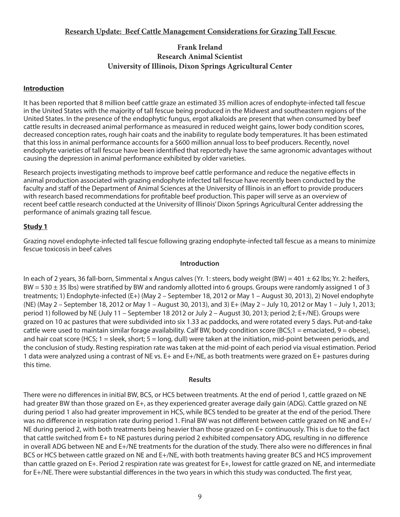# **Frank Ireland Research Animal Scientist University of Illinois, Dixon Springs Agricultural Center**

# **Introduction**

It has been reported that 8 million beef cattle graze an estimated 35 million acres of endophyte-infected tall fescue in the United States with the majority of tall fescue being produced in the Midwest and southeastern regions of the United States. In the presence of the endophytic fungus, ergot alkaloids are present that when consumed by beef cattle results in decreased animal performance as measured in reduced weight gains, lower body condition scores, decreased conception rates, rough hair coats and the inability to regulate body temperatures. It has been estimated that this loss in animal performance accounts for a \$600 million annual loss to beef producers. Recently, novel endophyte varieties of tall fescue have been identified that reportedly have the same agronomic advantages without causing the depression in animal performance exhibited by older varieties.

Research projects investigating methods to improve beef cattle performance and reduce the negative effects in animal production associated with grazing endophyte infected tall fescue have recently been conducted by the faculty and staff of the Department of Animal Sciences at the University of Illinois in an effort to provide producers with research based recommendations for profitable beef production. This paper will serve as an overview of recent beef cattle research conducted at the University of Illinois' Dixon Springs Agricultural Center addressing the performance of animals grazing tall fescue.

# **Study 1**

Grazing novel endophyte-infected tall fescue following grazing endophyte-infected tall fescue as a means to minimize fescue toxicosis in beef calves

## **Introduction**

In each of 2 years, 36 fall-born, Simmental x Angus calves (Yr. 1: steers, body weight (BW) = 401  $\pm$  62 lbs; Yr. 2: heifers,  $BW = 530 \pm 35$  lbs) were stratified by BW and randomly allotted into 6 groups. Groups were randomly assigned 1 of 3 treatments; 1) Endophyte-infected (E+) (May 2 – September 18, 2012 or May 1 – August 30, 2013), 2) Novel endophyte (NE) (May 2 – September 18, 2012 or May 1 – August 30, 2013), and 3) E+ (May 2 – July 10, 2012 or May 1 – July 1, 2013; period 1) followed by NE (July 11 – September 18 2012 or July 2 – August 30, 2013; period 2; E+/NE). Groups were grazed on 10 ac pastures that were subdivided into six 1.33 ac paddocks, and were rotated every 5 days. Put-and-take cattle were used to maintain similar forage availability. Calf BW, body condition score (BCS;1 = emaciated, 9 = obese), and hair coat score (HCS; 1 = sleek, short; 5 = long, dull) were taken at the initiation, mid-point between periods, and the conclusion of study. Resting respiration rate was taken at the mid-point of each period via visual estimation. Period 1 data were analyzed using a contrast of NE vs. E+ and E+/NE, as both treatments were grazed on E+ pastures during this time.

## **Results**

There were no differences in initial BW, BCS, or HCS between treatments. At the end of period 1, cattle grazed on NE had greater BW than those grazed on E+, as they experienced greater average daily gain (ADG). Cattle grazed on NE during period 1 also had greater improvement in HCS, while BCS tended to be greater at the end of the period. There was no difference in respiration rate during period 1. Final BW was not different between cattle grazed on NE and E+/ NE during period 2, with both treatments being heavier than those grazed on E+ continuously. This is due to the fact that cattle switched from E+ to NE pastures during period 2 exhibited compensatory ADG, resulting in no difference in overall ADG between NE and E+/NE treatments for the duration of the study. There also were no differences in final BCS or HCS between cattle grazed on NE and E+/NE, with both treatments having greater BCS and HCS improvement than cattle grazed on E+. Period 2 respiration rate was greatest for E+, lowest for cattle grazed on NE, and intermediate for E+/NE. There were substantial differences in the two years in which this study was conducted. The first year,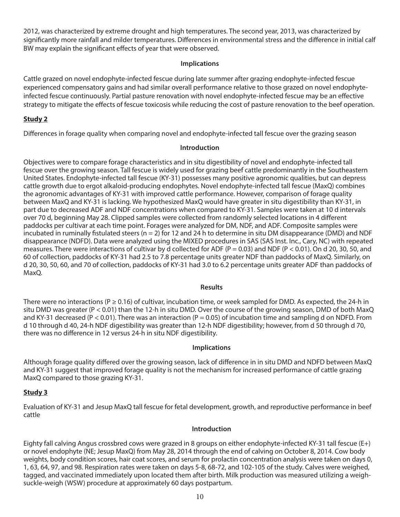2012, was characterized by extreme drought and high temperatures. The second year, 2013, was characterized by significantly more rainfall and milder temperatures. Differences in environmental stress and the difference in initial calf BW may explain the significant effects of year that were observed.

#### **Implications**

Cattle grazed on novel endophyte-infected fescue during late summer after grazing endophyte-infected fescue experienced compensatory gains and had similar overall performance relative to those grazed on novel endophyteinfected fescue continuously. Partial pasture renovation with novel endophyte-infected fescue may be an effective strategy to mitigate the effects of fescue toxicosis while reducing the cost of pasture renovation to the beef operation.

## **Study 2**

Differences in forage quality when comparing novel and endophyte-infected tall fescue over the grazing season

#### **Introduction**

Objectives were to compare forage characteristics and in situ digestibility of novel and endophyte-infected tall fescue over the growing season. Tall fescue is widely used for grazing beef cattle predominantly in the Southeastern United States. Endophyte-infected tall fescue (KY-31) possesses many positive agronomic qualities, but can depress cattle growth due to ergot alkaloid-producing endophytes. Novel endophyte-infected tall fescue (MaxQ) combines the agronomic advantages of KY-31 with improved cattle performance. However, comparison of forage quality between MaxQ and KY-31 is lacking. We hypothesized MaxQ would have greater in situ digestibility than KY-31, in part due to decreased ADF and NDF concentrations when compared to KY-31. Samples were taken at 10 d intervals over 70 d, beginning May 28. Clipped samples were collected from randomly selected locations in 4 different paddocks per cultivar at each time point. Forages were analyzed for DM, NDF, and ADF. Composite samples were incubated in ruminally fistulated steers ( $n = 2$ ) for 12 and 24 h to determine in situ DM disappearance (DMD) and NDF disappearance (NDFD). Data were analyzed using the MIXED procedures in SAS (SAS Inst. Inc., Cary, NC) with repeated measures. There were interactions of cultivar by d collected for ADF ( $P = 0.03$ ) and NDF ( $P < 0.01$ ). On d 20, 30, 50, and 60 of collection, paddocks of KY-31 had 2.5 to 7.8 percentage units greater NDF than paddocks of MaxQ. Similarly, on d 20, 30, 50, 60, and 70 of collection, paddocks of KY-31 had 3.0 to 6.2 percentage units greater ADF than paddocks of MaxQ.

#### **Results**

There were no interactions (P  $\geq$  0.16) of cultivar, incubation time, or week sampled for DMD. As expected, the 24-h in situ DMD was greater (P < 0.01) than the 12-h in situ DMD. Over the course of the growing season, DMD of both MaxQ and KY-31 decreased (P < 0.01). There was an interaction (P = 0.05) of incubation time and sampling d on NDFD. From d 10 through d 40, 24-h NDF digestibility was greater than 12-h NDF digestibility; however, from d 50 through d 70, there was no difference in 12 versus 24-h in situ NDF digestibility.

#### **Implications**

Although forage quality differed over the growing season, lack of difference in in situ DMD and NDFD between MaxQ and KY-31 suggest that improved forage quality is not the mechanism for increased performance of cattle grazing MaxQ compared to those grazing KY-31.

## **Study 3**

Evaluation of KY-31 and Jesup MaxQ tall fescue for fetal development, growth, and reproductive performance in beef cattle

#### **Introduction**

Eighty fall calving Angus crossbred cows were grazed in 8 groups on either endophyte-infected KY-31 tall fescue (E+) or novel endophyte (NE; Jesup MaxQ) from May 28, 2014 through the end of calving on October 8, 2014. Cow body weights, body condition scores, hair coat scores, and serum for prolactin concentration analysis were taken on days 0, 1, 63, 64, 97, and 98. Respiration rates were taken on days 5-8, 68-72, and 102-105 of the study. Calves were weighed, tagged, and vaccinated immediately upon located them after birth. Milk production was measured utilizing a weighsuckle-weigh (WSW) procedure at approximately 60 days postpartum.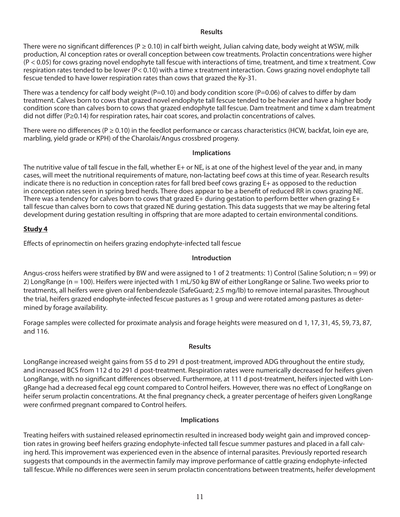#### **Results**

There were no significant differences ( $P \ge 0.10$ ) in calf birth weight, Julian calving date, body weight at WSW, milk production, AI conception rates or overall conception between cow treatments. Prolactin concentrations were higher (P < 0.05) for cows grazing novel endophyte tall fescue with interactions of time, treatment, and time x treatment. Cow respiration rates tended to be lower (P< 0.10) with a time x treatment interaction. Cows grazing novel endophyte tall fescue tended to have lower respiration rates than cows that grazed the Ky-31.

There was a tendency for calf body weight (P=0.10) and body condition score (P=0.06) of calves to differ by dam treatment. Calves born to cows that grazed novel endophyte tall fescue tended to be heavier and have a higher body condition score than calves born to cows that grazed endophyte tall fescue. Dam treatment and time x dam treatment did not differ (P≥0.14) for respiration rates, hair coat scores, and prolactin concentrations of calves.

There were no differences ( $P \ge 0.10$ ) in the feedlot performance or carcass characteristics (HCW, backfat, loin eye are, marbling, yield grade or KPH) of the Charolais/Angus crossbred progeny.

## **Implications**

The nutritive value of tall fescue in the fall, whether E+ or NE, is at one of the highest level of the year and, in many cases, will meet the nutritional requirements of mature, non-lactating beef cows at this time of year. Research results indicate there is no reduction in conception rates for fall bred beef cows grazing E+ as opposed to the reduction in conception rates seen in spring bred herds. There does appear to be a benefit of reduced RR in cows grazing NE. There was a tendency for calves born to cows that grazed E+ during gestation to perform better when grazing E+ tall fescue than calves born to cows that grazed NE during gestation. This data suggests that we may be altering fetal development during gestation resulting in offspring that are more adapted to certain environmental conditions.

## **Study 4**

Effects of eprinomectin on heifers grazing endophyte-infected tall fescue

## **Introduction**

Angus-cross heifers were stratified by BW and were assigned to 1 of 2 treatments: 1) Control (Saline Solution;  $n = 99$ ) or 2) LongRange (n = 100). Heifers were injected with 1 mL/50 kg BW of either LongRange or Saline. Two weeks prior to treatments, all heifers were given oral fenbendezole (SafeGuard; 2.5 mg/lb) to remove internal parasites. Throughout the trial, heifers grazed endophyte-infected fescue pastures as 1 group and were rotated among pastures as determined by forage availability.

Forage samples were collected for proximate analysis and forage heights were measured on d 1, 17, 31, 45, 59, 73, 87, and 116.

## **Results**

LongRange increased weight gains from 55 d to 291 d post-treatment, improved ADG throughout the entire study, and increased BCS from 112 d to 291 d post-treatment. Respiration rates were numerically decreased for heifers given LongRange, with no significant differences observed. Furthermore, at 111 d post-treatment, heifers injected with LongRange had a decreased fecal egg count compared to Control heifers. However, there was no effect of LongRange on heifer serum prolactin concentrations. At the final pregnancy check, a greater percentage of heifers given LongRange were confirmed pregnant compared to Control heifers.

## **Implications**

Treating heifers with sustained released eprinomectin resulted in increased body weight gain and improved conception rates in growing beef heifers grazing endophyte-infected tall fescue summer pastures and placed in a fall calving herd. This improvement was experienced even in the absence of internal parasites. Previously reported research suggests that compounds in the avermectin family may improve performance of cattle grazing endophyte-infected tall fescue. While no differences were seen in serum prolactin concentrations between treatments, heifer development